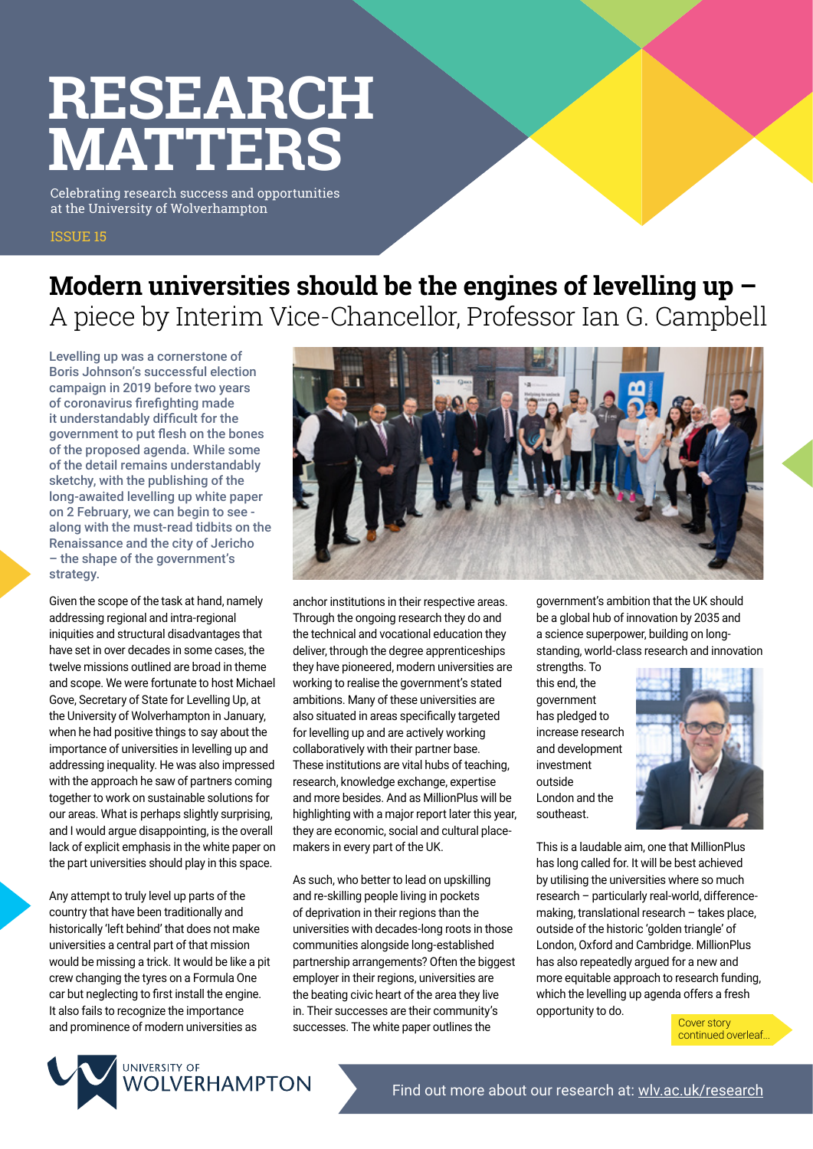# **RESEARCH MATTERS**

Celebrating research success and opportunities at the University of Wolverhampton

## ISSUE 15

# **Modern universities should be the engines of levelling up –** A piece by Interim Vice-Chancellor, Professor Ian G. Campbell

Levelling up was a cornerstone of Boris Johnson's successful election campaign in 2019 before two years of coronavirus firefighting made it understandably difficult for the government to put flesh on the bones of the proposed agenda. While some of the detail remains understandably sketchy, with the publishing of the long-awaited levelling up white paper on 2 February, we can begin to see along with the must-read tidbits on the Renaissance and the city of Jericho – the shape of the government's strategy.

Given the scope of the task at hand, namely addressing regional and intra-regional iniquities and structural disadvantages that have set in over decades in some cases, the twelve missions outlined are broad in theme and scope. We were fortunate to host Michael Gove, Secretary of State for Levelling Up, at the University of Wolverhampton in January, when he had positive things to say about the importance of universities in levelling up and addressing inequality. He was also impressed with the approach he saw of partners coming together to work on sustainable solutions for our areas. What is perhaps slightly surprising, and I would argue disappointing, is the overall lack of explicit emphasis in the white paper on the part universities should play in this space.

Any attempt to truly level up parts of the country that have been traditionally and historically 'left behind' that does not make universities a central part of that mission would be missing a trick. It would be like a pit crew changing the tyres on a Formula One car but neglecting to first install the engine. It also fails to recognize the importance



anchor institutions in their respective areas. Through the ongoing research they do and the technical and vocational education they deliver, through the degree apprenticeships they have pioneered, modern universities are working to realise the government's stated ambitions. Many of these universities are also situated in areas specifically targeted for levelling up and are actively working collaboratively with their partner base. These institutions are vital hubs of teaching, research, knowledge exchange, expertise and more besides. And as MillionPlus will be highlighting with a major report later this year, they are economic, social and cultural placemakers in every part of the UK.

As such, who better to lead on upskilling and re-skilling people living in pockets of deprivation in their regions than the universities with decades-long roots in those communities alongside long-established partnership arrangements? Often the biggest employer in their regions, universities are the beating civic heart of the area they live in. Their successes are their community's successes. The white paper outlines the and prominence of modern universities as successes. The white paper outlines the

government's ambition that the UK should be a global hub of innovation by 2035 and a science superpower, building on longstanding, world-class research and innovation

strengths. To this end, the government has pledged to increase research and development investment outside London and the southeast.



This is a laudable aim, one that MillionPlus has long called for. It will be best achieved by utilising the universities where so much research – particularly real-world, differencemaking, translational research – takes place, outside of the historic 'golden triangle' of London, Oxford and Cambridge. MillionPlus has also repeatedly argued for a new and more equitable approach to research funding, which the levelling up agenda offers a fresh opportunity to do.

continued overleaf...

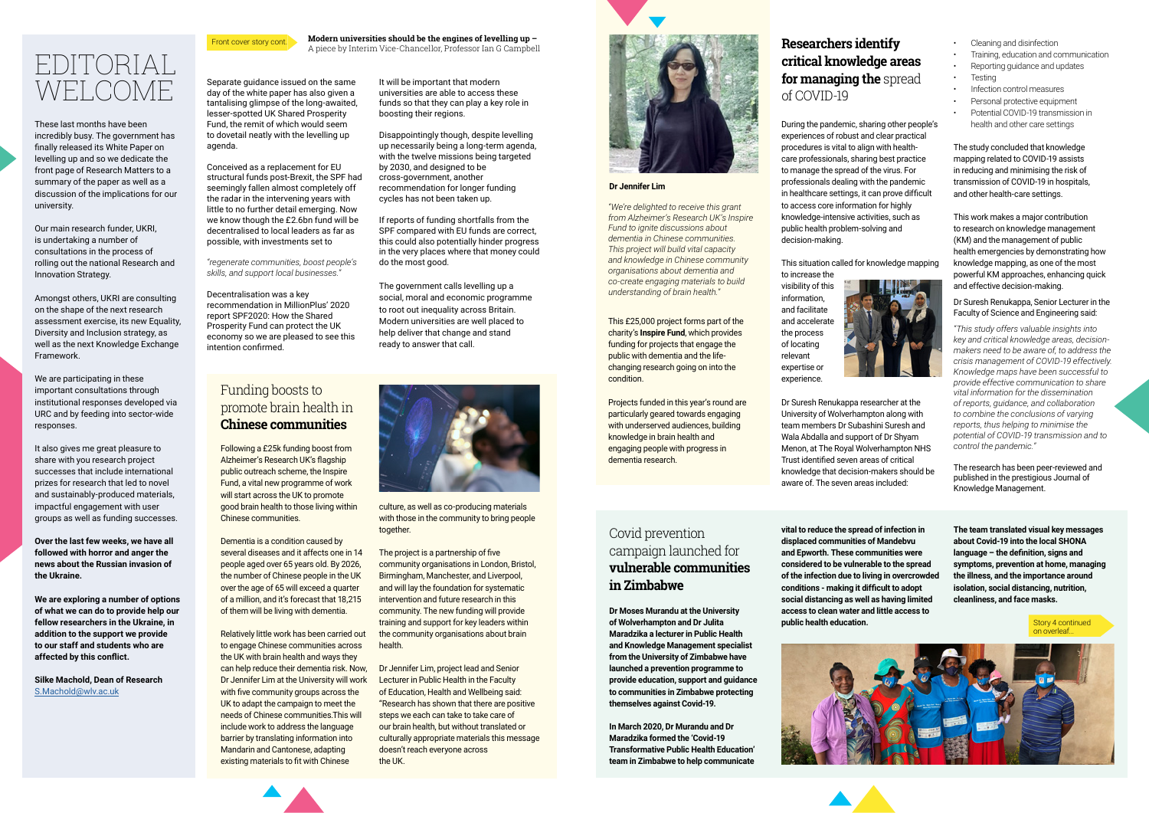# EDITORIAL WELCOME.

These last months have been incredibly busy. The government has finally released its White Paper on levelling up and so we dedicate the front page of Research Matters to a summary of the paper as well as a discussion of the implications for our university.

Our main research funder, UKRI, is undertaking a number of consultations in the process of rolling out the national Research and Innovation Strategy.

Amongst others, UKRI are consulting on the shape of the next research assessment exercise, its new Equality, Diversity and Inclusion strategy, as well as the next Knowledge Exchange Framework.

We are participating in these important consultations through institutional responses developed via URC and by feeding into sector-wide responses.

It also gives me great pleasure to share with you research project successes that include international prizes for research that led to novel and sustainably-produced materials, impactful engagement with user groups as well as funding successes.

**Over the last few weeks, we have all followed with horror and anger the news about the Russian invasion of the Ukraine.** 

**We are exploring a number of options of what we can do to provide help our fellow researchers in the Ukraine, in addition to the support we provide to our staff and students who are affected by this conflict.**

**Silke Machold, Dean of Research** [S.Machold@wlv.ac.uk](mailto:S.Machold%40wlv.ac.uk?subject=)

Front cover story cont.

## Funding boosts to promote brain health in **Chinese communities**

Following a £25k funding boost from Alzheimer's Research UK's flagship public outreach scheme, the Inspire Fund, a vital new programme of work will start across the UK to promote good brain health to those living within Chinese communities.

Dementia is a condition caused by several diseases and it affects one in 14 people aged over 65 years old. By 2026, the number of Chinese people in the UK over the age of 65 will exceed a quarter of a million, and it's forecast that 18,215 of them will be living with dementia.

Relatively little work has been carried out to engage Chinese communities across the UK with brain health and ways they can help reduce their dementia risk. Now, Dr Jennifer Lim at the University will work with five community groups across the UK to adapt the campaign to meet the needs of Chinese communities.This will include work to address the language barrier by translating information into Mandarin and Cantonese, adapting existing materials to fit with Chinese

**Modern universities should be the engines of levelling up –**  A piece by Interim Vice-Chancellor, Professor Ian G Campbell

> *"We're delighted to receive this grant from Alzheimer's Research UK's Inspire Fund to ignite discussions about dementia in Chinese communities. This project will build vital capacity and knowledge in Chinese community organisations about dementia and co-create engaging materials to build understanding of brain health."*

This £25,000 project forms part of the charity's **Inspire Fund**, which provides funding for projects that engage the public with dementia and the lifechanging research going on into the condition.

Projects funded in this year's round are particularly geared towards engaging with underserved audiences, building knowledge in brain health and engaging people with progress in dementia research.

**Dr Jennifer Lim**

During the pandemic, sharing other people's experiences of robust and clear practical procedures is vital to align with healthcare professionals, sharing best practice to manage the spread of the virus. For professionals dealing with the pandemic in healthcare settings, it can prove difficult to access core information for highly knowledge-intensive activities, such as public health problem-solving and decision-making.

This situation called for knowledge mapping

to increase the visibility of this information, and facilitate and accelerate the process of locating relevant expertise or experience.

Dr Suresh Renukappa researcher at the University of Wolverhampton along with team members Dr Subashini Suresh and Wala Abdalla and support of Dr Shyam Menon, at The Royal Wolverhampton NHS Trust identified seven areas of critical knowledge that decision-makers should be aware of. The seven areas included:

# **Researchers identify critical knowledge areas for managing the** spread of COVID-19

# Covid prevention campaign launched for **vulnerable communities in Zimbabwe**

**vital to reduce the spread of infection in displaced communities of Mandebvu and Epworth. These communities were considered to be vulnerable to the spread of the infection due to living in overcrowded conditions - making it difficult to adopt social distancing as well as having limited access to clean water and little access to public health education.**





**The team translated visual key messages about Covid-19 into the local SHONA language – the definition, signs and symptoms, prevention at home, managing the illness, and the importance around isolation, social distancing, nutrition, cleanliness, and face masks.**

**Dr Moses Murandu at the University of Wolverhampton and Dr Julita Maradzika a lecturer in Public Health and Knowledge Management specialist from the University of Zimbabwe have launched a prevention programme to provide education, support and guidance to communities in Zimbabwe protecting themselves against Covid-19.**

**In March 2020, Dr Murandu and Dr Maradzika formed the 'Covid-19 Transformative Public Health Education' team in Zimbabwe to help communicate** 

Separate guidance issued on the same day of the white paper has also given a tantalising glimpse of the long-awaited, lesser-spotted UK Shared Prosperity Fund, the remit of which would seem to dovetail neatly with the levelling up agenda.

Conceived as a replacement for EU structural funds post-Brexit, the SPF had seemingly fallen almost completely off the radar in the intervening years with little to no further detail emerging. Now we know though the £2.6bn fund will be decentralised to local leaders as far as possible, with investments set to

*"regenerate communities, boost people's skills, and support local businesses."*

Decentralisation was a key recommendation in MillionPlus' 2020 report SPF2020: How the Shared Prosperity Fund can protect the UK economy so we are pleased to see this intention confirmed.

It will be important that modern universities are able to access these funds so that they can play a key role in boosting their regions.

Disappointingly though, despite levelling up necessarily being a long-term agenda, with the twelve missions being targeted by 2030, and designed to be cross-government, another recommendation for longer funding cycles has not been taken up.

If reports of funding shortfalls from the SPF compared with EU funds are correct, this could also potentially hinder progress in the very places where that money could do the most good.

The government calls levelling up a social, moral and economic programme to root out inequality across Britain. Modern universities are well placed to help deliver that change and stand ready to answer that call.



culture, as well as co-producing materials with those in the community to bring people together.

The project is a partnership of five community organisations in London, Bristol, Birmingham, Manchester, and Liverpool, and will lay the foundation for systematic intervention and future research in this community. The new funding will provide training and support for key leaders within the community organisations about brain health.

Dr Jennifer Lim, project lead and Senior Lecturer in Public Health in the Faculty of Education, Health and Wellbeing said: "Research has shown that there are positive steps we each can take to take care of our brain health, but without translated or culturally appropriate materials this message doesn't reach everyone across the UK.



- Cleaning and disinfection
- Training, education and communication
- Reporting guidance and updates
- **Testing**
- Infection control measures
- Personal protective equipment
- Potential COVID-19 transmission in
- health and other care settings

The study concluded that knowledge mapping related to COVID-19 assists in reducing and minimising the risk of transmission of COVID-19 in hospitals, and other health-care settings.

This work makes a major contribution to research on knowledge management (KM) and the management of public health emergencies by demonstrating how knowledge mapping, as one of the most powerful KM approaches, enhancing quick and effective decision-making.

### Dr Suresh Renukappa, Senior Lecturer in the Faculty of Science and Engineering said:

*"This study offers valuable insights into key and critical knowledge areas, decisionmakers need to be aware of, to address the crisis management of COVID-19 effectively. Knowledge maps have been successful to provide effective communication to share vital information for the dissemination of reports, guidance, and collaboration to combine the conclusions of varying reports, thus helping to minimise the potential of COVID-19 transmission and to control the pandemic."*

The research has been peer-reviewed and published in the prestigious Journal of Knowledge Management.

> Story 4 continued on overleaf...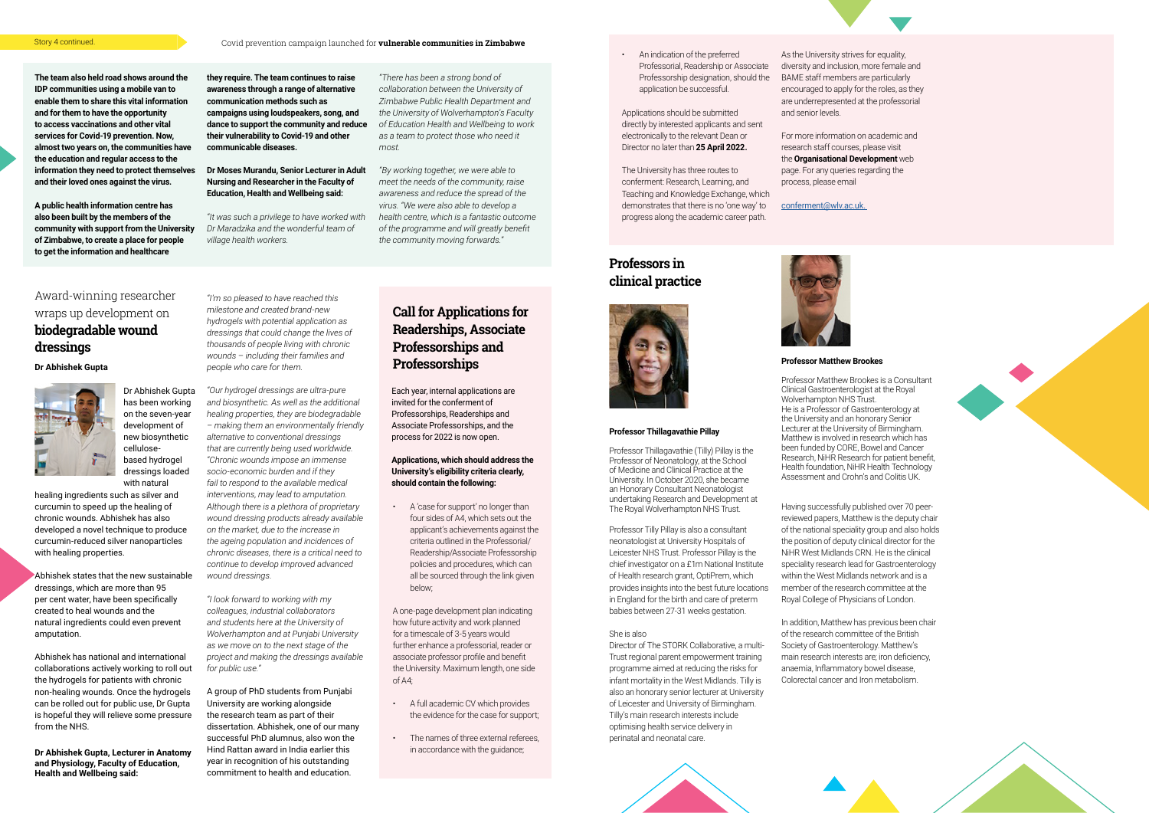# Award-winning researcher wraps up development on **biodegradable wound dressings**



**The team also held road shows around the IDP communities using a mobile van to enable them to share this vital information and for them to have the opportunity to access vaccinations and other vital services for Covid-19 prevention. Now, almost two years on, the communities have the education and regular access to the information they need to protect themselves and their loved ones against the virus.**

**A public health information centre has also been built by the members of the community with support from the University of Zimbabwe, to create a place for people to get the information and healthcare** 

**they require. The team continues to raise awareness through a range of alternative** 

**communication methods such as campaigns using loudspeakers, song, and dance to support the community and reduce their vulnerability to Covid-19 and other communicable diseases.** 

healing ingredients such as silver and curcumin to speed up the healing of chronic wounds. Abhishek has also developed a novel technique to produce curcumin-reduced silver nanoparticles with healing properties.

### **Dr Moses Murandu, Senior Lecturer in Adult Nursing and Researcher in the Faculty of Education, Health and Wellbeing said:**

*"It was such a privilege to have worked with Dr Maradzika and the wonderful team of village health workers.*

*"There has been a strong bond of collaboration between the University of Zimbabwe Public Health Department and the University of Wolverhampton's Faculty of Education Health and Wellbeing to work as a team to protect those who need it most.*

*"By working together, we were able to meet the needs of the community, raise awareness and reduce the spread of the virus. "We were also able to develop a health centre, which is a fantastic outcome of the programme and will greatly benefit the community moving forwards."*

Dr Abhishek Gupta has been working on the seven-year development of new biosynthetic cellulosebased hydrogel dressings loaded with natural

Abhishek states that the new sustainable dressings, which are more than 95 per cent water, have been specifically created to heal wounds and the natural ingredients could even prevent amputation.

Abhishek has national and international collaborations actively working to roll out the hydrogels for patients with chronic non-healing wounds. Once the hydrogels can be rolled out for public use, Dr Gupta is hopeful they will relieve some pressure from the NHS.

**Dr Abhishek Gupta, Lecturer in Anatomy and Physiology, Faculty of Education, Health and Wellbeing said:** 

*"I'm so pleased to have reached this milestone and created brand-new hydrogels with potential application as dressings that could change the lives of thousands of people living with chronic wounds – including their families and* 

*people who care for them.*

*"Our hydrogel dressings are ultra-pure and biosynthetic. As well as the additional healing properties, they are biodegradable – making them an environmentally friendly alternative to conventional dressings that are currently being used worldwide. "Chronic wounds impose an immense socio-economic burden and if they fail to respond to the available medical interventions, may lead to amputation. Although there is a plethora of proprietary wound dressing products already available on the market, due to the increase in the ageing population and incidences of chronic diseases, there is a critical need to continue to develop improved advanced* 

*wound dressings.*

Wolverhampton NHS Trust. He is a Professor of Gastroenterology at the University and an honorary Senior Lecturer at the University of Birmingham. Matthew is involved in research which has been funded by CORE, Bowel and Cancer Research, NiHR Research for patient benefit,

*"I look forward to working with my colleagues, industrial collaborators and students here at the University of Wolverhampton and at Punjabi University as we move on to the next stage of the project and making the dressings available* 

*for public use."*

A group of PhD students from Punjabi University are working alongside the research team as part of their dissertation. Abhishek, one of our many successful PhD alumnus, also won the Hind Rattan award in India earlier this year in recognition of his outstanding commitment to health and education.

# **Call for Applications for Readerships, Associate Professorships and Dr Abhishek Gupta Professorships Dr Abhishek Gupta Professorships**

• A 'case for support' no longer than four sides of A4, which sets out the applicant's achievements against the criteria outlined in the Professorial/ Readership/Associate Professorship policies and procedures, which can all be sourced through the link given below;

A one-page development plan indicating how future activity and work planned for a timescale of 3-5 years would further enhance a professorial, reader or associate professor profile and benefit the University. Maximum length, one side of A4;

- A full academic CV which provides the evidence for the case for support;
- The names of three external referees, in accordance with the guidance;

Each year, internal applications are invited for the conferment of Professorships, Readerships and Associate Professorships, and the process for 2022 is now open.

### **Applications, which should address the University's eligibility criteria clearly, should contain the following:**

Applications should be submitted directly by interested applicants and sent electronically to the relevant Dean or Director no later than **25 April 2022.**

The University has three routes to conferment: Research, Learning, and Teaching and Knowledge Exchange, which demonstrates that there is no 'one way' to progress along the academic career path.

As the University strives for equality, diversity and inclusion, more female and BAME staff members are particularly encouraged to apply for the roles, as they are underrepresented at the professorial and senior levels.

For more information on academic and research staff courses, please visit the **Organisational Development** web page. For any queries regarding the process, please email

[conferment@wlv.ac.uk.](mailto:?subject=)



• An indication of the preferred Professorial, Readership or Associate Professorship designation, should the application be successful.

## **Professors in clinical practice**



#### **Professor Thillagavathie Pillay**

Professor Thillagavathie (Tilly) Pillay is the Professor of Neonatology, at the School of Medicine and Clinical Practice at the University. In October 2020, she became an Honorary Consultant Neonatologist undertaking Research and Development at The Royal Wolverhampton NHS Trust.

Professor Tilly Pillay is also a consultant neonatologist at University Hospitals of Leicester NHS Trust. Professor Pillay is the chief investigator on a £1m National Institute of Health research grant, OptiPrem, which provides insights into the best future locations in England for the birth and care of preterm babies between 27-31 weeks gestation.

#### She is also

Director of The STORK Collaborative, a multi-Trust regional parent empowerment training programme aimed at reducing the risks for infant mortality in the West Midlands. Tilly is also an honorary senior lecturer at University of Leicester and University of Birmingham. Tilly's main research interests include optimising health service delivery in perinatal and neonatal care.

#### **Professor Matthew Brookes**

Professor Matthew Brookes is a Consultant Clinical Gastroenterologist at the Royal Health foundation, NiHR Health Technology Assessment and Crohn's and Colitis UK.

Having successfully published over 70 peerreviewed papers, Matthew is the deputy chair of the national speciality group and also holds the position of deputy clinical director for the NiHR West Midlands CRN. He is the clinical speciality research lead for Gastroenterology within the West Midlands network and is a member of the research committee at the Royal College of Physicians of London.

In addition, Matthew has previous been chair of the research committee of the British Society of Gastroenterology. Matthew's main research interests are; iron deficiency, anaemia, Inflammatory bowel disease, Colorectal cancer and Iron metabolism.